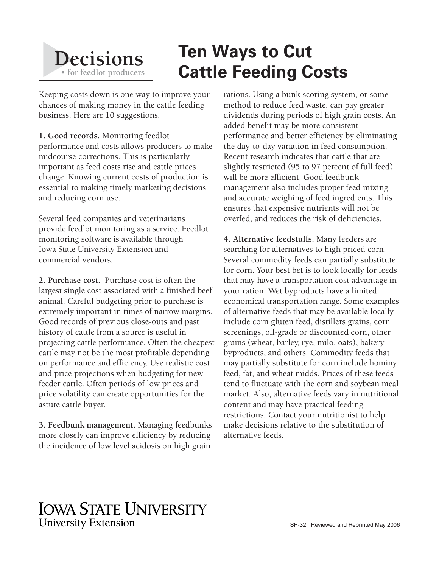

## **Ten Ways to Cut Cattle Feeding Costs**

Keeping costs down is one way to improve your chances of making money in the cattle feeding business. Here are 10 suggestions.

**1. Good records.** Monitoring feedlot performance and costs allows producers to make midcourse corrections. This is particularly important as feed costs rise and cattle prices change. Knowing current costs of production is essential to making timely marketing decisions and reducing corn use.

Several feed companies and veterinarians provide feedlot monitoring as a service. Feedlot monitoring software is available through Iowa State University Extension and commercial vendors.

**2. Purchase cost.** Purchase cost is often the largest single cost associated with a finished beef animal. Careful budgeting prior to purchase is extremely important in times of narrow margins. Good records of previous close-outs and past history of cattle from a source is useful in projecting cattle performance. Often the cheapest cattle may not be the most profitable depending on performance and efficiency. Use realistic cost and price projections when budgeting for new feeder cattle. Often periods of low prices and price volatility can create opportunities for the astute cattle buyer.

**3. Feedbunk management.** Managing feedbunks more closely can improve efficiency by reducing the incidence of low level acidosis on high grain

rations. Using a bunk scoring system, or some method to reduce feed waste, can pay greater dividends during periods of high grain costs. An added benefit may be more consistent performance and better efficiency by eliminating the day-to-day variation in feed consumption. Recent research indicates that cattle that are slightly restricted (95 to 97 percent of full feed) will be more efficient. Good feedbunk management also includes proper feed mixing and accurate weighing of feed ingredients. This ensures that expensive nutrients will not be overfed, and reduces the risk of deficiencies.

**4. Alternative feedstuffs.** Many feeders are searching for alternatives to high priced corn. Several commodity feeds can partially substitute for corn. Your best bet is to look locally for feeds that may have a transportation cost advantage in your ration. Wet byproducts have a limited economical transportation range. Some examples of alternative feeds that may be available locally include corn gluten feed, distillers grains, corn screenings, off-grade or discounted corn, other grains (wheat, barley, rye, milo, oats), bakery byproducts, and others. Commodity feeds that may partially substitute for corn include hominy feed, fat, and wheat midds. Prices of these feeds tend to fluctuate with the corn and soybean meal market. Also, alternative feeds vary in nutritional content and may have practical feeding restrictions. Contact your nutritionist to help make decisions relative to the substitution of alternative feeds.

## **IOWA STATE UNIVERSITY University Extension**